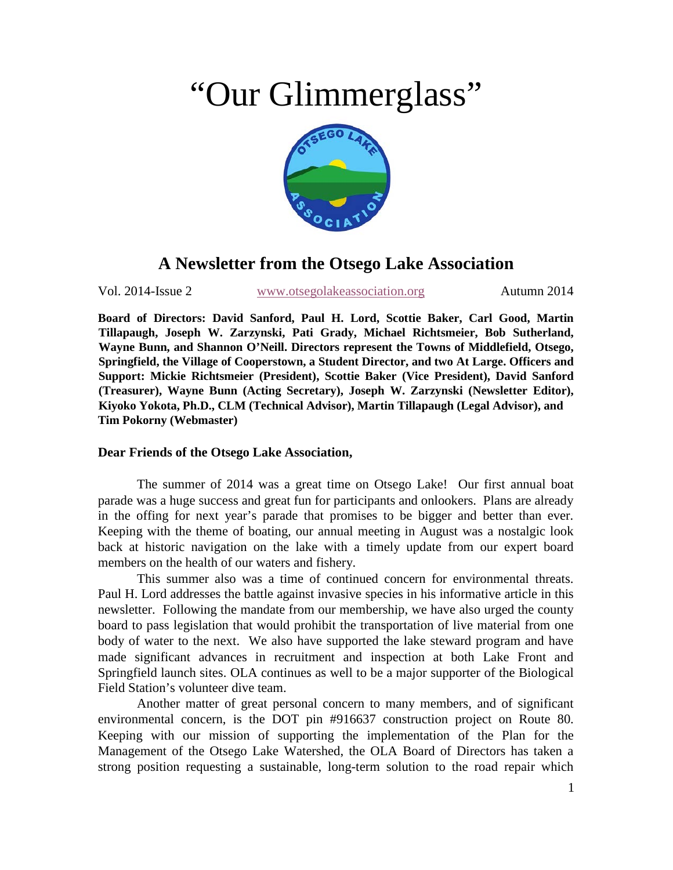# "Our Glimmerglass"



## **A Newsletter from the Otsego Lake Association**

Vol. 2014-Issue 2 [www.otsegolakeassociation.org](http://www.otsegolakeassociation.org/) Autumn 2014

**Board of Directors: David Sanford, Paul H. Lord, Scottie Baker, Carl Good, Martin Tillapaugh, Joseph W. Zarzynski, Pati Grady, Michael Richtsmeier, Bob Sutherland, Wayne Bunn, and Shannon O'Neill. Directors represent the Towns of Middlefield, Otsego, Springfield, the Village of Cooperstown, a Student Director, and two At Large. Officers and Support: Mickie Richtsmeier (President), Scottie Baker (Vice President), David Sanford (Treasurer), Wayne Bunn (Acting Secretary), Joseph W. Zarzynski (Newsletter Editor), Kiyoko Yokota, Ph.D., CLM (Technical Advisor), Martin Tillapaugh (Legal Advisor), and Tim Pokorny (Webmaster)** 

### **Dear Friends of the Otsego Lake Association,**

The summer of 2014 was a great time on Otsego Lake! Our first annual boat parade was a huge success and great fun for participants and onlookers. Plans are already in the offing for next year's parade that promises to be bigger and better than ever. Keeping with the theme of boating, our annual meeting in August was a nostalgic look back at historic navigation on the lake with a timely update from our expert board members on the health of our waters and fishery.

This summer also was a time of continued concern for environmental threats. Paul H. Lord addresses the battle against invasive species in his informative article in this newsletter. Following the mandate from our membership, we have also urged the county board to pass legislation that would prohibit the transportation of live material from one body of water to the next. We also have supported the lake steward program and have made significant advances in recruitment and inspection at both Lake Front and Springfield launch sites. OLA continues as well to be a major supporter of the Biological Field Station's volunteer dive team.

Another matter of great personal concern to many members, and of significant environmental concern, is the DOT pin #916637 construction project on Route 80. Keeping with our mission of supporting the implementation of the Plan for the Management of the Otsego Lake Watershed, the OLA Board of Directors has taken a strong position requesting a sustainable, long-term solution to the road repair which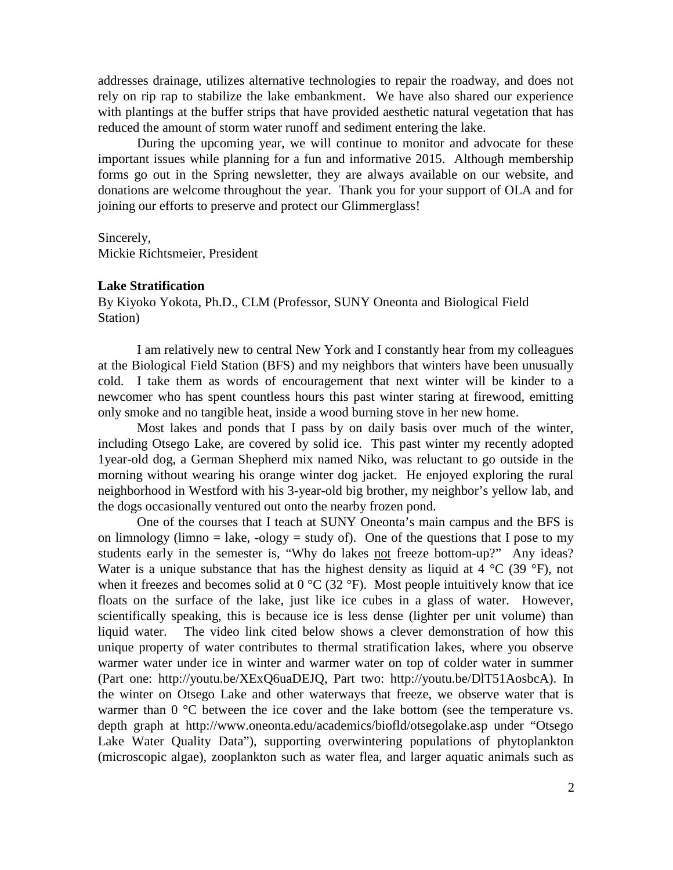addresses drainage, utilizes alternative technologies to repair the roadway, and does not rely on rip rap to stabilize the lake embankment. We have also shared our experience with plantings at the buffer strips that have provided aesthetic natural vegetation that has reduced the amount of storm water runoff and sediment entering the lake.

During the upcoming year, we will continue to monitor and advocate for these important issues while planning for a fun and informative 2015. Although membership forms go out in the Spring newsletter, they are always available on our website, and donations are welcome throughout the year. Thank you for your support of OLA and for joining our efforts to preserve and protect our Glimmerglass!

Sincerely,

Mickie Richtsmeier, President

#### **Lake Stratification**

By Kiyoko Yokota, Ph.D., CLM (Professor, SUNY Oneonta and Biological Field Station)

I am relatively new to central New York and I constantly hear from my colleagues at the Biological Field Station (BFS) and my neighbors that winters have been unusually cold. I take them as words of encouragement that next winter will be kinder to a newcomer who has spent countless hours this past winter staring at firewood, emitting only smoke and no tangible heat, inside a wood burning stove in her new home.

Most lakes and ponds that I pass by on daily basis over much of the winter, including Otsego Lake, are covered by solid ice. This past winter my recently adopted 1year-old dog, a German Shepherd mix named Niko, was reluctant to go outside in the morning without wearing his orange winter dog jacket. He enjoyed exploring the rural neighborhood in Westford with his 3-year-old big brother, my neighbor's yellow lab, and the dogs occasionally ventured out onto the nearby frozen pond.

One of the courses that I teach at SUNY Oneonta's main campus and the BFS is on limnology (limno  $=$  lake,  $-$ ology  $=$  study of). One of the questions that I pose to my students early in the semester is, "Why do lakes not freeze bottom-up?" Any ideas? Water is a unique substance that has the highest density as liquid at  $4 \degree C$  (39  $\degree F$ ), not when it freezes and becomes solid at  $0^{\circ}C$  (32  $^{\circ}F$ ). Most people intuitively know that ice floats on the surface of the lake, just like ice cubes in a glass of water. However, scientifically speaking, this is because ice is less dense (lighter per unit volume) than liquid water. The video link cited below shows a clever demonstration of how this unique property of water contributes to thermal stratification lakes, where you observe warmer water under ice in winter and warmer water on top of colder water in summer (Part one: http://youtu.be/XExQ6uaDEJQ, Part two: http://youtu.be/DlT51AosbcA). In the winter on Otsego Lake and other waterways that freeze, we observe water that is warmer than 0 °C between the ice cover and the lake bottom (see the temperature vs. depth graph at http://www.oneonta.edu/academics/biofld/otsegolake.asp under "Otsego Lake Water Quality Data"), supporting overwintering populations of phytoplankton (microscopic algae), zooplankton such as water flea, and larger aquatic animals such as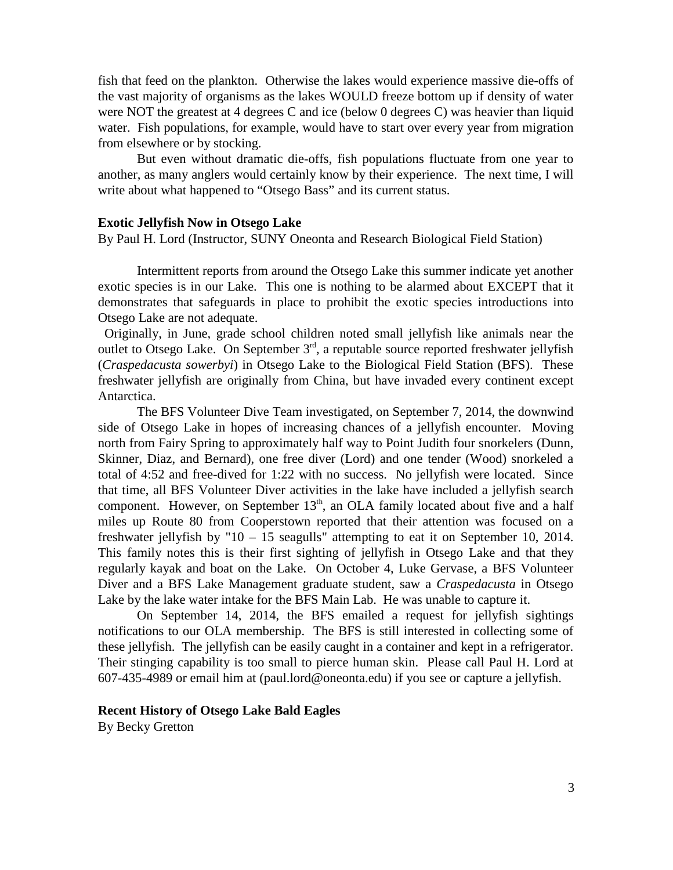fish that feed on the plankton. Otherwise the lakes would experience massive die-offs of the vast majority of organisms as the lakes WOULD freeze bottom up if density of water were NOT the greatest at 4 degrees C and ice (below 0 degrees C) was heavier than liquid water. Fish populations, for example, would have to start over every year from migration from elsewhere or by stocking.

But even without dramatic die-offs, fish populations fluctuate from one year to another, as many anglers would certainly know by their experience. The next time, I will write about what happened to "Otsego Bass" and its current status.

#### **Exotic Jellyfish Now in Otsego Lake**

By Paul H. Lord (Instructor, SUNY Oneonta and Research Biological Field Station)

Intermittent reports from around the Otsego Lake this summer indicate yet another exotic species is in our Lake. This one is nothing to be alarmed about EXCEPT that it demonstrates that safeguards in place to prohibit the exotic species introductions into Otsego Lake are not adequate.

 Originally, in June, grade school children noted small jellyfish like animals near the outlet to Otsego Lake. On September  $3<sup>rd</sup>$ , a reputable source reported freshwater jellyfish (*Craspedacusta sowerbyi*) in Otsego Lake to the Biological Field Station (BFS). These freshwater jellyfish are originally from China, but have invaded every continent except Antarctica.

The BFS Volunteer Dive Team investigated, on September 7, 2014, the downwind side of Otsego Lake in hopes of increasing chances of a jellyfish encounter. Moving north from Fairy Spring to approximately half way to Point Judith four snorkelers (Dunn, Skinner, Diaz, and Bernard), one free diver (Lord) and one tender (Wood) snorkeled a total of 4:52 and free-dived for 1:22 with no success. No jellyfish were located. Since that time, all BFS Volunteer Diver activities in the lake have included a jellyfish search component. However, on September  $13<sup>th</sup>$ , an OLA family located about five and a half miles up Route 80 from Cooperstown reported that their attention was focused on a freshwater jellyfish by "10 – 15 seagulls" attempting to eat it on September 10, 2014. This family notes this is their first sighting of jellyfish in Otsego Lake and that they regularly kayak and boat on the Lake. On October 4, Luke Gervase, a BFS Volunteer Diver and a BFS Lake Management graduate student, saw a *Craspedacusta* in Otsego Lake by the lake water intake for the BFS Main Lab. He was unable to capture it.

On September 14, 2014, the BFS emailed a request for jellyfish sightings notifications to our OLA membership. The BFS is still interested in collecting some of these jellyfish. The jellyfish can be easily caught in a container and kept in a refrigerator. Their stinging capability is too small to pierce human skin. Please call Paul H. Lord at 607-435-4989 or email him at (paul.lord@oneonta.edu) if you see or capture a jellyfish.

#### **Recent History of Otsego Lake Bald Eagles**

By Becky Gretton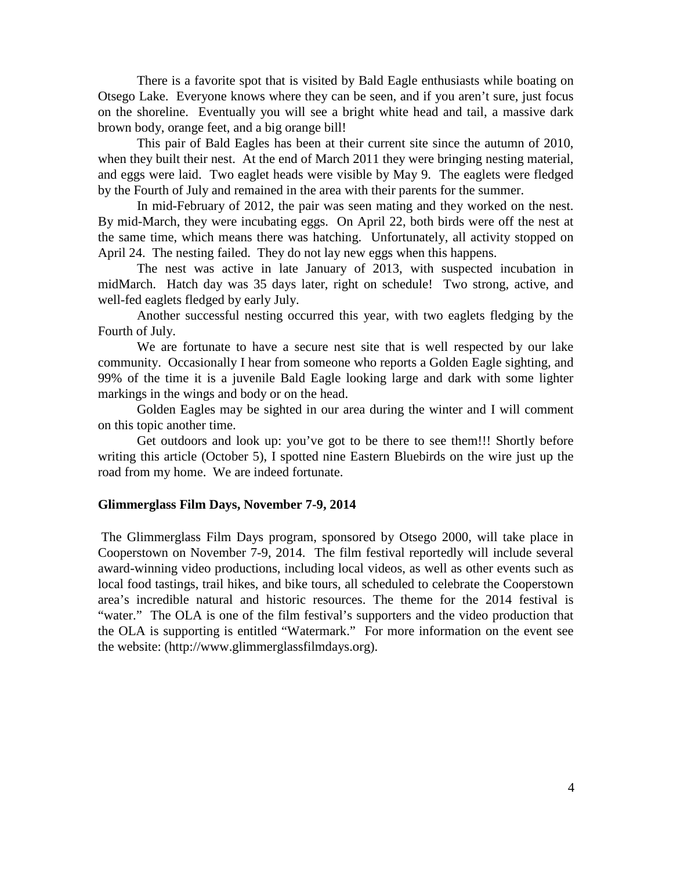There is a favorite spot that is visited by Bald Eagle enthusiasts while boating on Otsego Lake. Everyone knows where they can be seen, and if you aren't sure, just focus on the shoreline. Eventually you will see a bright white head and tail, a massive dark brown body, orange feet, and a big orange bill!

This pair of Bald Eagles has been at their current site since the autumn of 2010, when they built their nest. At the end of March 2011 they were bringing nesting material, and eggs were laid. Two eaglet heads were visible by May 9. The eaglets were fledged by the Fourth of July and remained in the area with their parents for the summer.

In mid-February of 2012, the pair was seen mating and they worked on the nest. By mid-March, they were incubating eggs. On April 22, both birds were off the nest at the same time, which means there was hatching. Unfortunately, all activity stopped on April 24. The nesting failed. They do not lay new eggs when this happens.

The nest was active in late January of 2013, with suspected incubation in midMarch. Hatch day was 35 days later, right on schedule! Two strong, active, and well-fed eaglets fledged by early July.

Another successful nesting occurred this year, with two eaglets fledging by the Fourth of July.

We are fortunate to have a secure nest site that is well respected by our lake community. Occasionally I hear from someone who reports a Golden Eagle sighting, and 99% of the time it is a juvenile Bald Eagle looking large and dark with some lighter markings in the wings and body or on the head.

Golden Eagles may be sighted in our area during the winter and I will comment on this topic another time.

Get outdoors and look up: you've got to be there to see them!!! Shortly before writing this article (October 5), I spotted nine Eastern Bluebirds on the wire just up the road from my home. We are indeed fortunate.

#### **Glimmerglass Film Days, November 7-9, 2014**

The Glimmerglass Film Days program, sponsored by Otsego 2000, will take place in Cooperstown on November 7-9, 2014. The film festival reportedly will include several award-winning video productions, including local videos, as well as other events such as local food tastings, trail hikes, and bike tours, all scheduled to celebrate the Cooperstown area's incredible natural and historic resources. The theme for the 2014 festival is "water." The OLA is one of the film festival's supporters and the video production that the OLA is supporting is entitled "Watermark." For more information on the event see the website: (http://www.glimmerglassfilmdays.org).